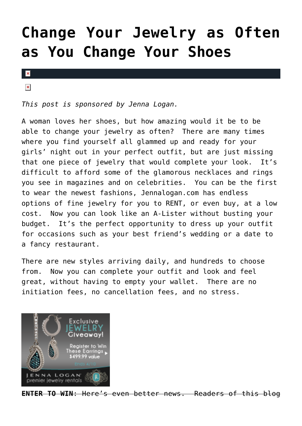## **[Change Your Jewelry as Often](https://cupidspulse.com/28697/rent-fine-jewelery-save-jenna-logan-contest/) [as You Change Your Shoes](https://cupidspulse.com/28697/rent-fine-jewelery-save-jenna-logan-contest/)**

 $\pmb{\times}$ 

 $\pmb{\times}$ 

*This post is sponsored by Jenna Logan.*

A woman loves her shoes, but how amazing would it be to be able to change your jewelry as often? There are many times where you find yourself all glammed up and ready for your girls' night out in your perfect outfit, but are just missing that one piece of jewelry that would complete your look. It's difficult to afford some of the glamorous necklaces and rings you see in magazines and on celebrities. You can be the first to wear the newest fashions, Jennalogan.com has endless options of fine jewelry for you to RENT, or even buy, at a low cost. Now you can look like an A-Lister without busting your budget. It's the perfect opportunity to dress up your outfit for occasions such as your best friend's wedding or a date to a fancy restaurant.

There are new styles arriving daily, and hundreds to choose from. Now you can complete your outfit and look and feel great, without having to empty your wallet. There are no initiation fees, no cancellation fees, and no stress.



**ENTER TO WIN**: Here's even better news. Readers of this blog